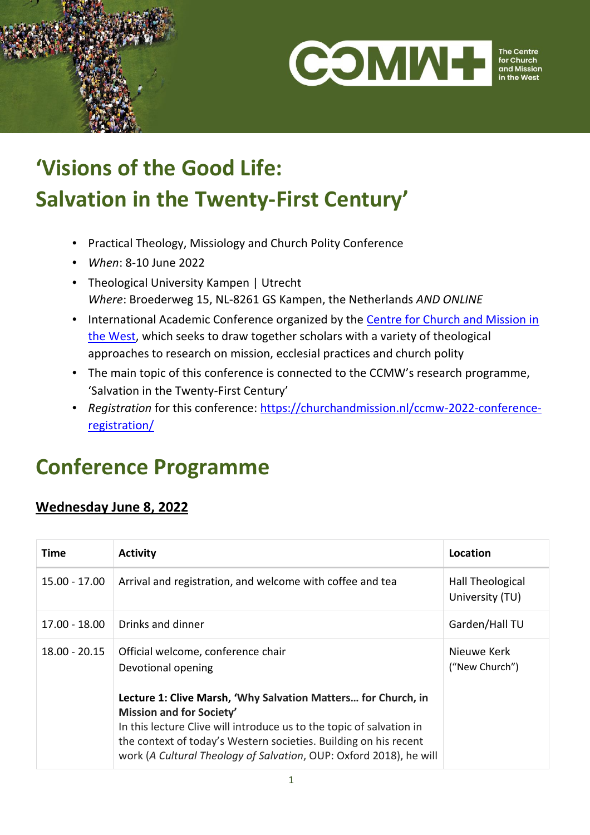



#### The Centre<br>for Church and Missior

# **'Visions of the Good Life: Salvation in the Twenty-First Century'**

- Practical Theology, Missiology and Church Polity Conference
- *When*: 8-10 June 2022
- Theological University Kampen | Utrecht *Where*: Broederweg 15, NL-8261 GS Kampen, the Netherlands *AND ONLINE*
- International Academic Conference organized by the [Centre for Church and Mission in](http://www.churchandmission.nl/)  [the West,](http://www.churchandmission.nl/) which seeks to draw together scholars with a variety of theological approaches to research on mission, ecclesial practices and church polity
- The main topic of this conference is connected to the CCMW's research programme, 'Salvation in the Twenty-First Century'
- *Registration* for this conference: [https://churchandmission.nl/ccmw-2022-conference](https://churchandmission.nl/ccmw-2022-conference-registration/)[registration/](https://churchandmission.nl/ccmw-2022-conference-registration/)

## **Conference Programme**

#### **Wednesday June 8, 2022**

| <b>Time</b>     | <b>Activity</b>                                                                                                                                                                                                                                                                                                    | Location                            |
|-----------------|--------------------------------------------------------------------------------------------------------------------------------------------------------------------------------------------------------------------------------------------------------------------------------------------------------------------|-------------------------------------|
| $15.00 - 17.00$ | Arrival and registration, and welcome with coffee and tea                                                                                                                                                                                                                                                          | Hall Theological<br>University (TU) |
| 17.00 - 18.00   | Drinks and dinner                                                                                                                                                                                                                                                                                                  | Garden/Hall TU                      |
| $18.00 - 20.15$ | Official welcome, conference chair<br>Devotional opening                                                                                                                                                                                                                                                           | Nieuwe Kerk<br>("New Church")       |
|                 | Lecture 1: Clive Marsh, 'Why Salvation Matters for Church, in<br><b>Mission and for Society'</b><br>In this lecture Clive will introduce us to the topic of salvation in<br>the context of today's Western societies. Building on his recent<br>work (A Cultural Theology of Salvation, OUP: Oxford 2018), he will |                                     |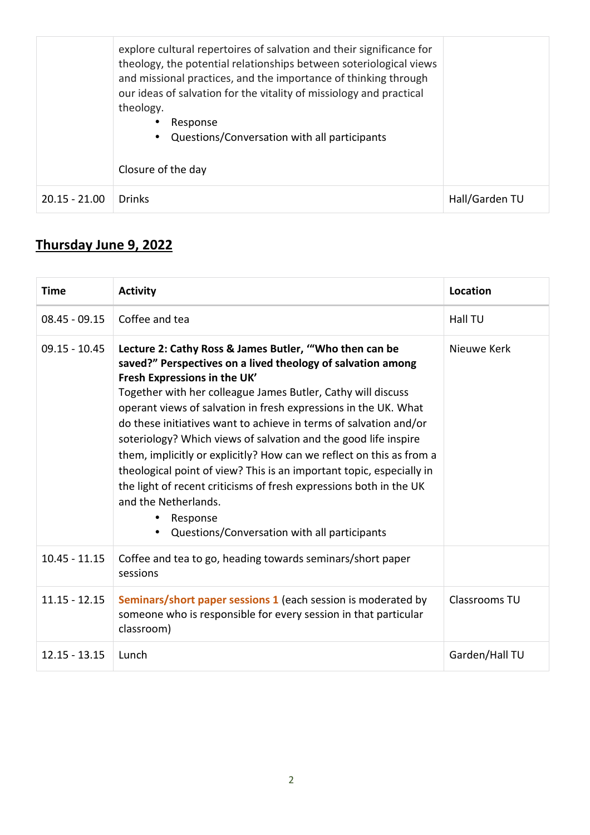|                 | explore cultural repertoires of salvation and their significance for<br>theology, the potential relationships between soteriological views<br>and missional practices, and the importance of thinking through<br>our ideas of salvation for the vitality of missiology and practical<br>theology.<br>Response<br>Questions/Conversation with all participants<br>$\bullet$<br>Closure of the day |                |
|-----------------|--------------------------------------------------------------------------------------------------------------------------------------------------------------------------------------------------------------------------------------------------------------------------------------------------------------------------------------------------------------------------------------------------|----------------|
| $20.15 - 21.00$ | <b>Drinks</b>                                                                                                                                                                                                                                                                                                                                                                                    | Hall/Garden TU |

## **Thursday June 9, 2022**

| <b>Time</b>     | <b>Activity</b>                                                                                                                                                                                                                                                                                                                                                                                                                                                                                                                                                                                                                                                                                                                            | Location       |
|-----------------|--------------------------------------------------------------------------------------------------------------------------------------------------------------------------------------------------------------------------------------------------------------------------------------------------------------------------------------------------------------------------------------------------------------------------------------------------------------------------------------------------------------------------------------------------------------------------------------------------------------------------------------------------------------------------------------------------------------------------------------------|----------------|
| $08.45 - 09.15$ | Coffee and tea                                                                                                                                                                                                                                                                                                                                                                                                                                                                                                                                                                                                                                                                                                                             | <b>Hall TU</b> |
| $09.15 - 10.45$ | Lecture 2: Cathy Ross & James Butler, "Who then can be<br>saved?" Perspectives on a lived theology of salvation among<br>Fresh Expressions in the UK'<br>Together with her colleague James Butler, Cathy will discuss<br>operant views of salvation in fresh expressions in the UK. What<br>do these initiatives want to achieve in terms of salvation and/or<br>soteriology? Which views of salvation and the good life inspire<br>them, implicitly or explicitly? How can we reflect on this as from a<br>theological point of view? This is an important topic, especially in<br>the light of recent criticisms of fresh expressions both in the UK<br>and the Netherlands.<br>Response<br>Questions/Conversation with all participants | Nieuwe Kerk    |
| $10.45 - 11.15$ | Coffee and tea to go, heading towards seminars/short paper<br>sessions                                                                                                                                                                                                                                                                                                                                                                                                                                                                                                                                                                                                                                                                     |                |
| $11.15 - 12.15$ | <b>Seminars/short paper sessions 1</b> (each session is moderated by<br>someone who is responsible for every session in that particular<br>classroom)                                                                                                                                                                                                                                                                                                                                                                                                                                                                                                                                                                                      | Classrooms TU  |
| $12.15 - 13.15$ | Lunch                                                                                                                                                                                                                                                                                                                                                                                                                                                                                                                                                                                                                                                                                                                                      | Garden/Hall TU |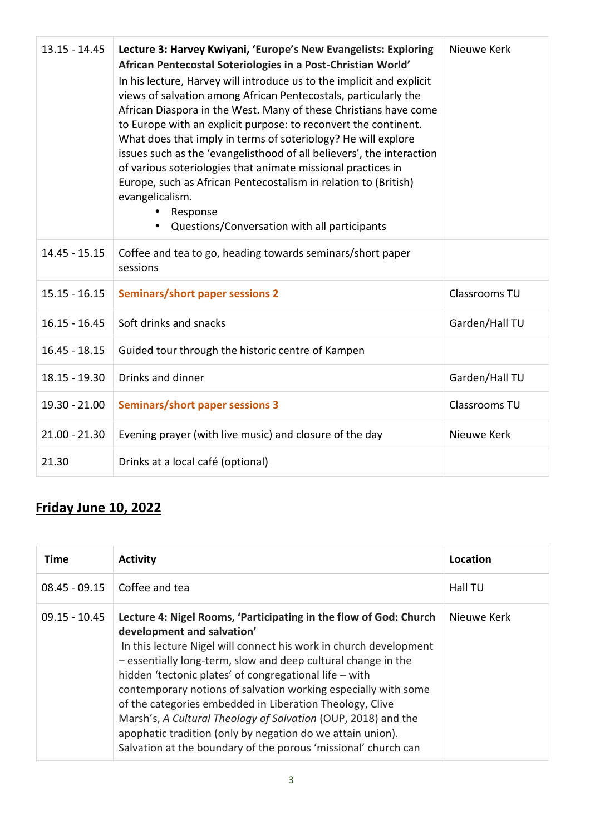| $13.15 - 14.45$ | Lecture 3: Harvey Kwiyani, 'Europe's New Evangelists: Exploring<br>African Pentecostal Soteriologies in a Post-Christian World'<br>In his lecture, Harvey will introduce us to the implicit and explicit<br>views of salvation among African Pentecostals, particularly the<br>African Diaspora in the West. Many of these Christians have come<br>to Europe with an explicit purpose: to reconvert the continent.<br>What does that imply in terms of soteriology? He will explore<br>issues such as the 'evangelisthood of all believers', the interaction<br>of various soteriologies that animate missional practices in<br>Europe, such as African Pentecostalism in relation to (British)<br>evangelicalism.<br>Response<br>Questions/Conversation with all participants | Nieuwe Kerk    |
|-----------------|--------------------------------------------------------------------------------------------------------------------------------------------------------------------------------------------------------------------------------------------------------------------------------------------------------------------------------------------------------------------------------------------------------------------------------------------------------------------------------------------------------------------------------------------------------------------------------------------------------------------------------------------------------------------------------------------------------------------------------------------------------------------------------|----------------|
| $14.45 - 15.15$ | Coffee and tea to go, heading towards seminars/short paper<br>sessions                                                                                                                                                                                                                                                                                                                                                                                                                                                                                                                                                                                                                                                                                                         |                |
| $15.15 - 16.15$ | <b>Seminars/short paper sessions 2</b>                                                                                                                                                                                                                                                                                                                                                                                                                                                                                                                                                                                                                                                                                                                                         | Classrooms TU  |
| $16.15 - 16.45$ | Soft drinks and snacks                                                                                                                                                                                                                                                                                                                                                                                                                                                                                                                                                                                                                                                                                                                                                         | Garden/Hall TU |
| $16.45 - 18.15$ | Guided tour through the historic centre of Kampen                                                                                                                                                                                                                                                                                                                                                                                                                                                                                                                                                                                                                                                                                                                              |                |
| 18.15 - 19.30   | Drinks and dinner                                                                                                                                                                                                                                                                                                                                                                                                                                                                                                                                                                                                                                                                                                                                                              | Garden/Hall TU |
| 19.30 - 21.00   | <b>Seminars/short paper sessions 3</b>                                                                                                                                                                                                                                                                                                                                                                                                                                                                                                                                                                                                                                                                                                                                         | Classrooms TU  |
| $21.00 - 21.30$ | Evening prayer (with live music) and closure of the day                                                                                                                                                                                                                                                                                                                                                                                                                                                                                                                                                                                                                                                                                                                        | Nieuwe Kerk    |
| 21.30           | Drinks at a local café (optional)                                                                                                                                                                                                                                                                                                                                                                                                                                                                                                                                                                                                                                                                                                                                              |                |

## **Friday June 10, 2022**

| Time            | <b>Activity</b>                                                                                                                                                                                                                                                                                                                                                                                                                                                                                                                                                                                                                | Location       |
|-----------------|--------------------------------------------------------------------------------------------------------------------------------------------------------------------------------------------------------------------------------------------------------------------------------------------------------------------------------------------------------------------------------------------------------------------------------------------------------------------------------------------------------------------------------------------------------------------------------------------------------------------------------|----------------|
| $08.45 - 09.15$ | Coffee and tea                                                                                                                                                                                                                                                                                                                                                                                                                                                                                                                                                                                                                 | <b>Hall TU</b> |
| $09.15 - 10.45$ | Lecture 4: Nigel Rooms, 'Participating in the flow of God: Church<br>development and salvation'<br>In this lecture Nigel will connect his work in church development<br>- essentially long-term, slow and deep cultural change in the<br>hidden 'tectonic plates' of congregational life - with<br>contemporary notions of salvation working especially with some<br>of the categories embedded in Liberation Theology, Clive<br>Marsh's, A Cultural Theology of Salvation (OUP, 2018) and the<br>apophatic tradition (only by negation do we attain union).<br>Salvation at the boundary of the porous 'missional' church can | Nieuwe Kerk    |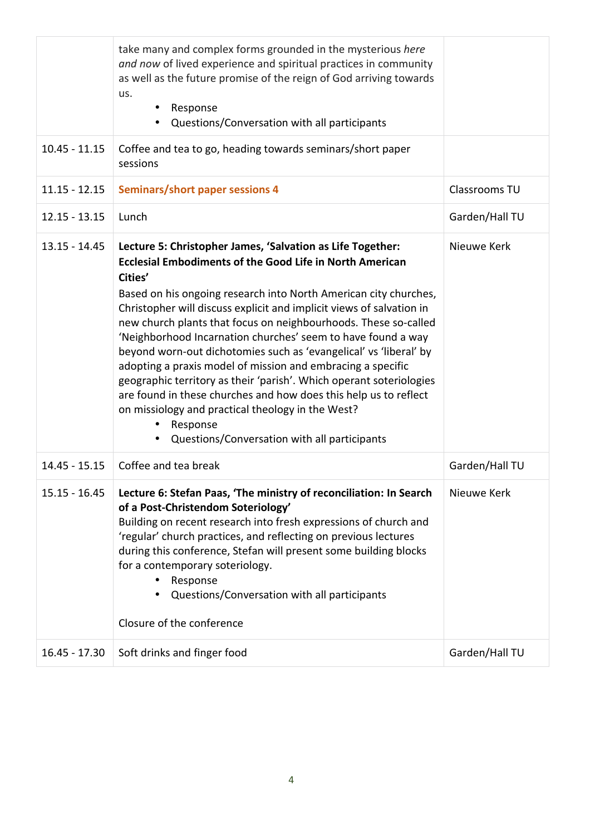|                 | take many and complex forms grounded in the mysterious here<br>and now of lived experience and spiritual practices in community<br>as well as the future promise of the reign of God arriving towards<br>us.<br>Response<br>٠<br>Questions/Conversation with all participants                                                                                                                                                                                                                                                                                                                                                                                                                                                                                                                                                        |                |
|-----------------|--------------------------------------------------------------------------------------------------------------------------------------------------------------------------------------------------------------------------------------------------------------------------------------------------------------------------------------------------------------------------------------------------------------------------------------------------------------------------------------------------------------------------------------------------------------------------------------------------------------------------------------------------------------------------------------------------------------------------------------------------------------------------------------------------------------------------------------|----------------|
| $10.45 - 11.15$ | Coffee and tea to go, heading towards seminars/short paper<br>sessions                                                                                                                                                                                                                                                                                                                                                                                                                                                                                                                                                                                                                                                                                                                                                               |                |
| $11.15 - 12.15$ | Seminars/short paper sessions 4                                                                                                                                                                                                                                                                                                                                                                                                                                                                                                                                                                                                                                                                                                                                                                                                      | Classrooms TU  |
| $12.15 - 13.15$ | Lunch                                                                                                                                                                                                                                                                                                                                                                                                                                                                                                                                                                                                                                                                                                                                                                                                                                | Garden/Hall TU |
| $13.15 - 14.45$ | Lecture 5: Christopher James, 'Salvation as Life Together:<br><b>Ecclesial Embodiments of the Good Life in North American</b><br>Cities'<br>Based on his ongoing research into North American city churches,<br>Christopher will discuss explicit and implicit views of salvation in<br>new church plants that focus on neighbourhoods. These so-called<br>'Neighborhood Incarnation churches' seem to have found a way<br>beyond worn-out dichotomies such as 'evangelical' vs 'liberal' by<br>adopting a praxis model of mission and embracing a specific<br>geographic territory as their 'parish'. Which operant soteriologies<br>are found in these churches and how does this help us to reflect<br>on missiology and practical theology in the West?<br>Response<br>Questions/Conversation with all participants<br>$\bullet$ | Nieuwe Kerk    |
| 14.45 - 15.15   | Coffee and tea break                                                                                                                                                                                                                                                                                                                                                                                                                                                                                                                                                                                                                                                                                                                                                                                                                 | Garden/Hall TU |
| $15.15 - 16.45$ | Lecture 6: Stefan Paas, 'The ministry of reconciliation: In Search<br>of a Post-Christendom Soteriology'<br>Building on recent research into fresh expressions of church and<br>'regular' church practices, and reflecting on previous lectures<br>during this conference, Stefan will present some building blocks<br>for a contemporary soteriology.<br>Response<br>Questions/Conversation with all participants<br>Closure of the conference                                                                                                                                                                                                                                                                                                                                                                                      | Nieuwe Kerk    |
| $16.45 - 17.30$ | Soft drinks and finger food                                                                                                                                                                                                                                                                                                                                                                                                                                                                                                                                                                                                                                                                                                                                                                                                          | Garden/Hall TU |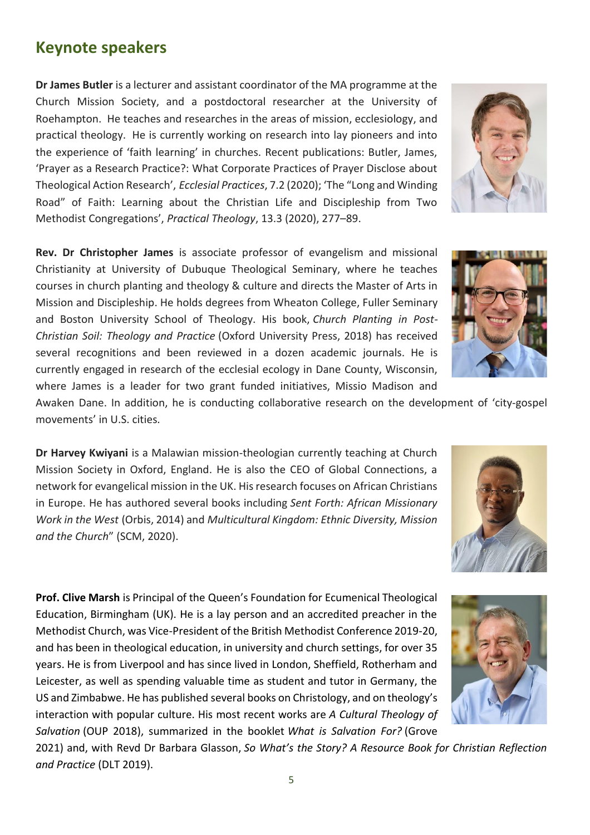**Dr James Butler** is a lecturer and assistant coordinator of the MA programme at the Church Mission Society, and a postdoctoral researcher at the University of Roehampton. He teaches and researches in the areas of mission, ecclesiology, and practical theology. He is currently working on research into lay pioneers and into the experience of 'faith learning' in churches. Recent publications: Butler, James, 'Prayer as a Research Practice?: What Corporate Practices of Prayer Disclose about Theological Action Research', *Ecclesial Practices*, 7.2 (2020); 'The "Long and Winding Road" of Faith: Learning about the Christian Life and Discipleship from Two Methodist Congregations', *Practical Theology*, 13.3 (2020), 277–89.

**Rev. Dr Christopher James** is associate professor of evangelism and missional Christianity at University of Dubuque Theological Seminary, where he teaches courses in church planting and theology & culture and directs the Master of Arts in Mission and Discipleship. He holds degrees from Wheaton College, Fuller Seminary and Boston University School of Theology. His book, *Church Planting in Post-Christian Soil: Theology and Practice* (Oxford University Press, 2018) has received several recognitions and been reviewed in a dozen academic journals. He is currently engaged in research of the ecclesial ecology in Dane County, Wisconsin, where James is a leader for two grant funded initiatives, Missio Madison and

Awaken Dane. In addition, he is conducting collaborative research on the development of 'city-gospel movements' in U.S. cities.

**Dr Harvey Kwiyani** is a Malawian mission-theologian currently teaching at Church Mission Society in Oxford, England. He is also the CEO of Global Connections, a network for evangelical mission in the UK. His research focuses on African Christians in Europe. He has authored several books including *Sent Forth: African Missionary Work in the West* (Orbis, 2014) and *Multicultural Kingdom: Ethnic Diversity, Mission and the Church*" (SCM, 2020).

**Prof. Clive Marsh** is Principal of the Queen's Foundation for Ecumenical Theological Education, Birmingham (UK). He is a lay person and an accredited preacher in the Methodist Church, was Vice-President of the British Methodist Conference 2019-20, and has been in theological education, in university and church settings, for over 35 years. He is from Liverpool and has since lived in London, Sheffield, Rotherham and Leicester, as well as spending valuable time as student and tutor in Germany, the US and Zimbabwe. He has published several books on Christology, and on theology's interaction with popular culture. His most recent works are *A Cultural Theology of Salvation* (OUP 2018), summarized in the booklet *What is Salvation For?* (Grove

2021) and, with Revd Dr Barbara Glasson, *So What's the Story? A Resource Book for Christian Reflection and Practice* (DLT 2019).